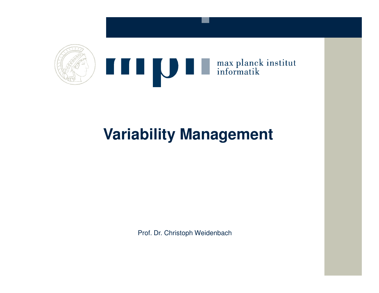

# **Variability Management**

Prof. Dr. Christoph Weidenbach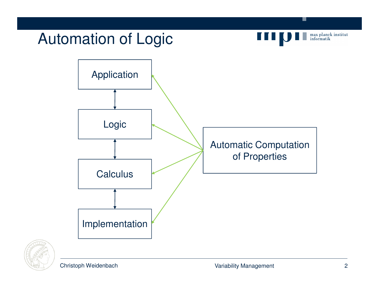

Christoph Weidenbach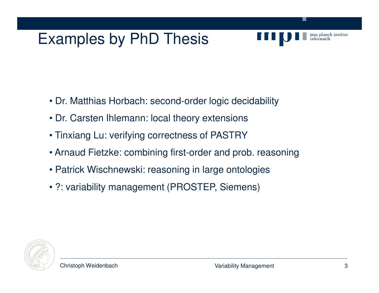#### Examples by PhD Thesis

- Dr. Matthias Horbach: second-order logic decidability
	- Dr. Carsten Ihlemann: local theory extensions
	- Tinxiang Lu: verifying correctness of PASTRY
	- Arnaud Fietzke: combining first-order and prob. reasoning
	- Patrick Wischnewski: reasoning in large ontologies
	- ?: variability management (PROSTEP, Siemens)



max planck institut

informatik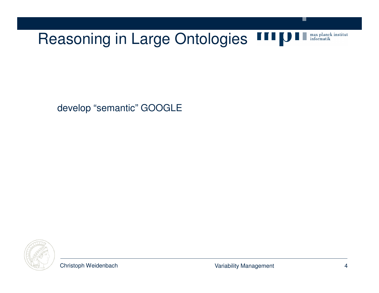

develop "semantic" GOOGLE



.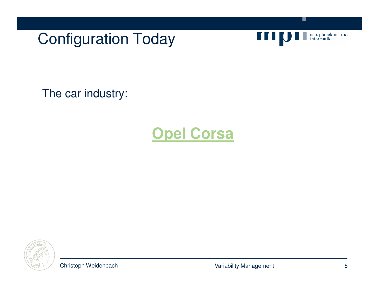Configuration Today



.

The car industry:

# **Opel Corsa**

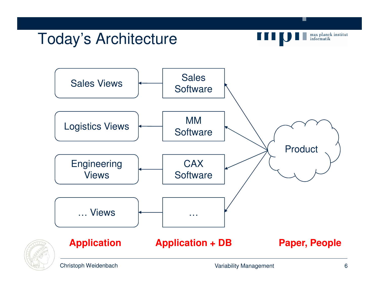#### Today's Architecture



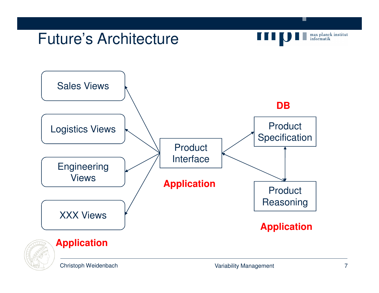

Christoph Weidenbach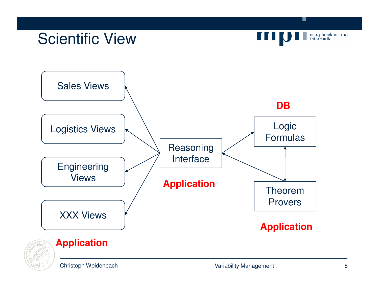

Christoph Weidenbach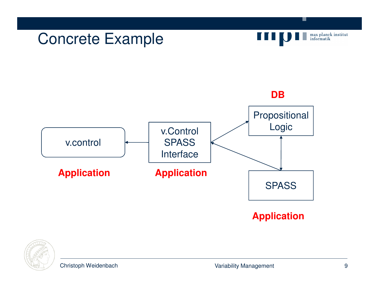



**SPASS** 

.

max planck institut<br>informatik

**Application**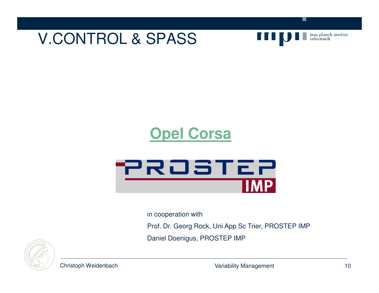



.

# **Opel Corsa**



in cooperation with

Prof. Dr. Georg Rock, Uni App Sc Trier, PROSTEP IMP

Daniel Doenigus, PROSTEP IMP



Christoph Weidenbach

Variability Management 10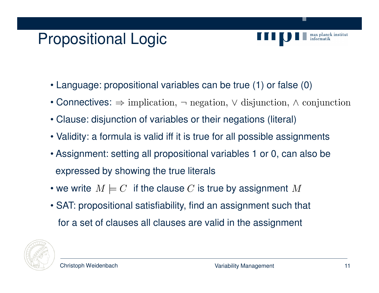# Propositional Logic



- Language: propositional variables can be true (1) or false (0)
- Connectives:
- Clause: disjunction of variables or their negations (literal)
- Validity: a formula is valid iff it is true for all possible assignments
- Assignment: setting all propositional variables 1 or 0, can also beexpressed by showing the true literals
- we write  $M\models C$  if the clause  $C$  is true by assignment
- SAT: propositional satisfiability, find an assignment such that for a set of clauses all clauses are valid in the assignment

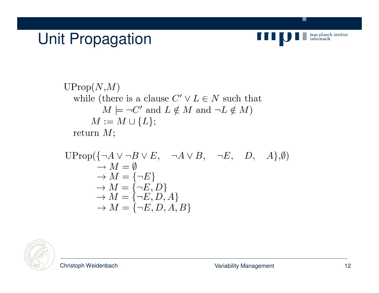# Unit Propagation



V.

\n
$$
\text{UProp}(N, M)
$$
\n while (there is a clause  $C' \lor L \in N$  such that\n  $M \models \neg C'$  and  $L \notin M$  and  $\neg L \notin M$ )\n  $M := M \cup \{L\};$ \n return  $M$ ;\n

$$
\begin{array}{ll}\n\text{UProp}(\{\neg A \lor \neg B \lor E, \neg A \lor B, \neg E, D, A\}, \emptyset) \\
\rightarrow M = \emptyset \\
\rightarrow M = \{\neg E\} \\
\rightarrow M = \{\neg E, D\} \\
\rightarrow M = \{\neg E, D, A\} \\
\rightarrow M = \{\neg E, D, A, B\}\n\end{array}
$$

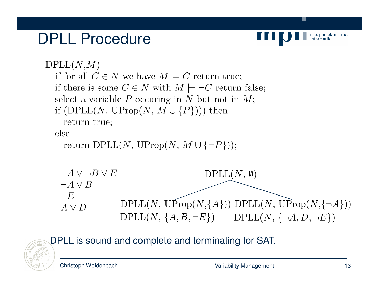#### DPLL Procedure



```
DPLL(N,M)if for all C \in N we have M \models C return true;
  if there is some C \in N with M \models \neg C return false;
  select a variable P occuring in N but not in M;
  if (DPLL(N, UProp(N, M \cup \{P\})) then
     return true;
  else
     return DPLL(N, \text{UProp}(N, M \cup \{\neg P\}));
    \neg A \vee \neg B \vee EDPLL(N, \emptyset)\neg A \vee B\neg EDPLL(N, \widehat{UProp}(N,\{A\})) DPLL(N, \widehat{UProp}(N,\{\neg A\}))
    A \vee DDPLL(N, \{A, B, \neg E\}) DPLL(N, \{\neg A, D, \neg E\})
```
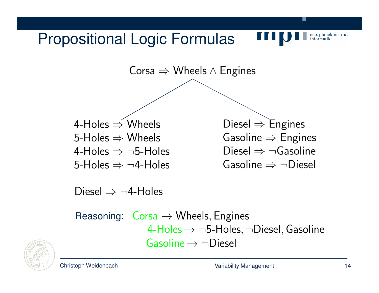#### Propositional Logic Formulas



Corsa  $\Rightarrow$  Wheels  $\wedge$  Engines

4-Holes  $\Rightarrow$  Wheels 5-Holes  $\Rightarrow$  Wheels 4-Holes  $\Rightarrow \neg 5$ -Holes 5-Holes  $\Rightarrow \neg 4$ -Holes

Diesel  $\Rightarrow$  Engines Gasoline  $\Rightarrow$  Engines Diesel  $\Rightarrow \neg$ Gasoline Gasoline  $\Rightarrow \neg$ Diesel

Diesel  $\Rightarrow \neg 4$ -Holes

Reasoning:  $\text{Cors}_a \rightarrow \text{Wheels},$  Engines 4-Holes  $\rightarrow \neg 5$ -Holes,  $\neg$ Diesel, Gasoline Gasoline  $\rightarrow \neg$  Diesel

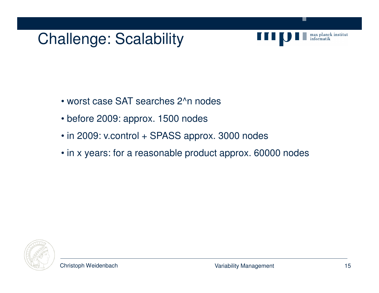#### Challenge: Scalability



- worst case SAT searches 2^n nodes
- before 2009: approx. 1500 nodes
- in 2009: v.control + SPASS approx. 3000 nodes
- in x years: for a reasonable product approx. 60000 nodes